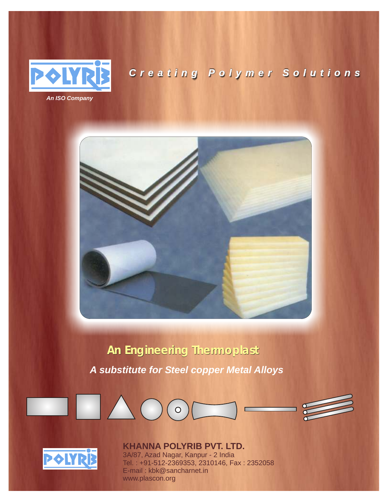

# *Creating Polymer Solutions*



# **An Engineering Thermoplast**

*A substitute for Steel copper Metal Alloys*





# **KHANNA POLYRIB PVT. LTD.**

3A/87, Azad Nagar, Kanpur - 2 India Tel. : +91-512-2369353, 2310146, Fax : 2352058 E-mail : kbk@sancharnet.in www.plascon.org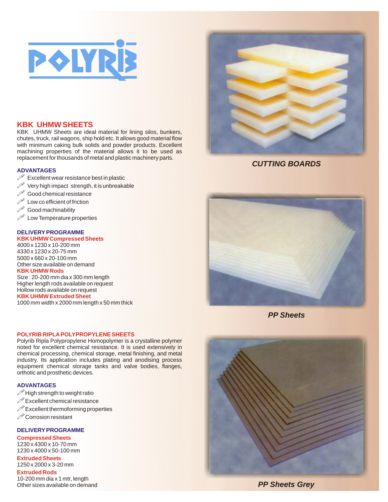

## **KBK UHMW SHEETS**

KBK UHMW Sheets are ideal material for lining silos, bunkers, chutes, truck, rail wagons, ship hold etc. It allows good material flow with minimum caking bulk solids and powder products. Excellent machining properties of the material allows it to be used as replacement for thousands of metal and plastic machinery parts.

#### **ADVANTAGES**

- $\mathscr P$  Excellent wear resistance best in plastic
- ! Very high impact strength, it is unbreakable
- $\mathscr{D}$  Good chemical resistance<br> $\mathscr{D}$  Low co efficient of friction
- Low co efficient of friction
- $\mathcal P$  Good machinability<br> $\mathcal P$  Low Temperature pro
- Low Temperature properties

## **DELIVERY PROGRAMME**

## **KBK UHMW Compressed Sheets**

4000 x 1230 x 10-200 mm 4330 x 1230 x 20-75 mm 5000 x 660 x 20-100 mm Other size available on demand

#### **KBK UHMW Rods**

**KBK UHMW Extruded Sheet** Size : 20-200 mm dia x 300 mm length Higher length rods available on request Hollow rods available on request

1000 mm width x 2000 mm length x 50 mm thick

#### **POLYRIB RIPLA POLYPROPYLENE SHEETS**

Polyrib Ripla Polypropylene Homopolymer is a crystalline polymer noted for excellent chemical resistance. It is used extensively in chemical processing, chemical storage, metal finishing, and metal industry. Its application includes plating and anodising process equipment chemical storage tanks and valve bodies, flanges, orthotic and prosthetic devices.

### **ADVANTAGES**

- $\mathscr{P}$  High strength to weight ratio
- $\mathscr P$  Excellent chemical resistance
- $\mathscr P$  Excellent thermoforming properties
- $\mathscr{D}$  Corrosion resistant

#### **DELIVERY PROGRAMME**

#### **Compressed Sheets** 1230 x 4300 x 10-70 mm

**Extruded Sheets** 1230 x 4000 x 50-100 mm

**Extruded Rods** 1250 x 2000 x 3-20 mm

10-200 mm dia x 1 mtr, length Other sizes available on demand



*CUTTING BOARDS*



*PP Sheets*



*PP Sheets Grey*